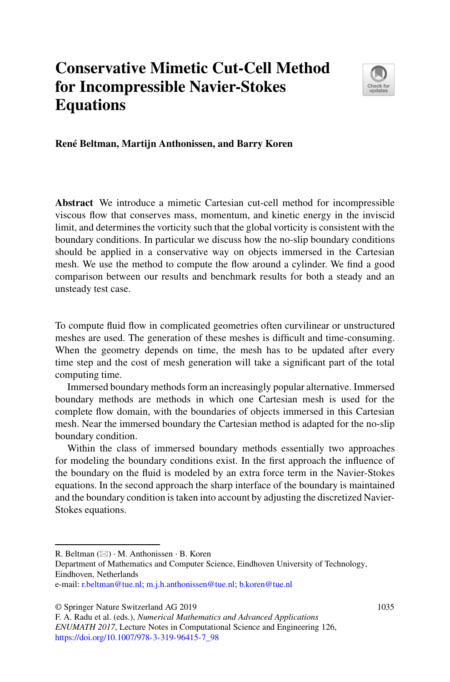# **Conservative Mimetic Cut-Cell Method for Incompressible Navier-Stokes Equations**



**René Beltman, Martijn Anthonissen, and Barry Koren**

**Abstract** We introduce a mimetic Cartesian cut-cell method for incompressible viscous flow that conserves mass, momentum, and kinetic energy in the inviscid limit, and determines the vorticity such that the global vorticity is consistent with the boundary conditions. In particular we discuss how the no-slip boundary conditions should be applied in a conservative way on objects immersed in the Cartesian mesh. We use the method to compute the flow around a cylinder. We find a good comparison between our results and benchmark results for both a steady and an unsteady test case.

To compute fluid flow in complicated geometries often curvilinear or unstructured meshes are used. The generation of these meshes is difficult and time-consuming. When the geometry depends on time, the mesh has to be updated after every time step and the cost of mesh generation will take a significant part of the total computing time.

Immersed boundary methods form an increasingly popular alternative. Immersed boundary methods are methods in which one Cartesian mesh is used for the complete flow domain, with the boundaries of objects immersed in this Cartesian mesh. Near the immersed boundary the Cartesian method is adapted for the no-slip boundary condition.

Within the class of immersed boundary methods essentially two approaches for modeling the boundary conditions exist. In the first approach the influence of the boundary on the fluid is modeled by an extra force term in the Navier-Stokes equations. In the second approach the sharp interface of the boundary is maintained and the boundary condition is taken into account by adjusting the discretized Navier-Stokes equations.

R. Beltman  $(\boxtimes) \cdot M$ . Anthonissen  $\cdot B$ . Koren

Department of Mathematics and Computer Science, Eindhoven University of Technology, Eindhoven, Netherlands

e-mail: [r.beltman@tue.nl;](mailto:r.beltman@tue.nl) [m.j.h.anthonissen@tue.nl;](mailto:m.j.h.anthonissen@tue.nl) [b.koren@tue.nl](mailto:b.koren@tue.nl)

<sup>©</sup> Springer Nature Switzerland AG 2019

F. A. Radu et al. (eds.), *Numerical Mathematics and Advanced Applications ENUMATH 2017*, Lecture Notes in Computational Science and Engineering 126, [https://doi.org/10.1007/978-3-319-96415-7\\_98](https://doi.org/10.1007/978-3-319-96415-7_98)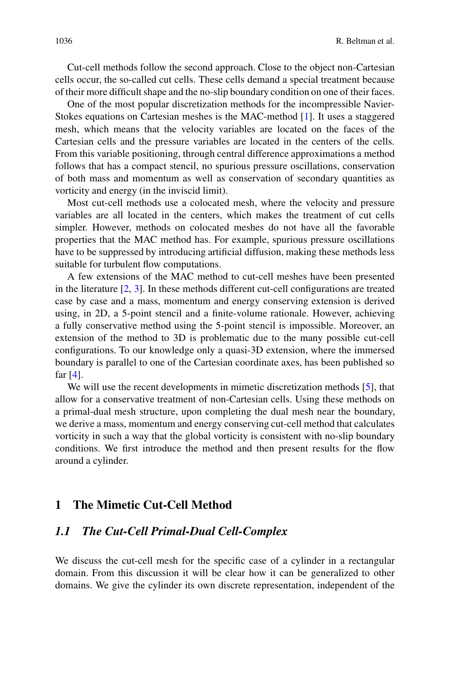Cut-cell methods follow the second approach. Close to the object non-Cartesian cells occur, the so-called cut cells. These cells demand a special treatment because of their more difficult shape and the no-slip boundary condition on one of their faces.

One of the most popular discretization methods for the incompressible Navier-Stokes equations on Cartesian meshes is the MAC-method [\[1\]](#page-7-0). It uses a staggered mesh, which means that the velocity variables are located on the faces of the Cartesian cells and the pressure variables are located in the centers of the cells. From this variable positioning, through central difference approximations a method follows that has a compact stencil, no spurious pressure oscillations, conservation of both mass and momentum as well as conservation of secondary quantities as vorticity and energy (in the inviscid limit).

Most cut-cell methods use a colocated mesh, where the velocity and pressure variables are all located in the centers, which makes the treatment of cut cells simpler. However, methods on colocated meshes do not have all the favorable properties that the MAC method has. For example, spurious pressure oscillations have to be suppressed by introducing artificial diffusion, making these methods less suitable for turbulent flow computations.

A few extensions of the MAC method to cut-cell meshes have been presented in the literature [\[2,](#page-7-1) [3\]](#page-7-2). In these methods different cut-cell configurations are treated case by case and a mass, momentum and energy conserving extension is derived using, in 2D, a 5-point stencil and a finite-volume rationale. However, achieving a fully conservative method using the 5-point stencil is impossible. Moreover, an extension of the method to 3D is problematic due to the many possible cut-cell configurations. To our knowledge only a quasi-3D extension, where the immersed boundary is parallel to one of the Cartesian coordinate axes, has been published so far [\[4\]](#page-7-3).

We will use the recent developments in mimetic discretization methods [\[5\]](#page-8-0), that allow for a conservative treatment of non-Cartesian cells. Using these methods on a primal-dual mesh structure, upon completing the dual mesh near the boundary, we derive a mass, momentum and energy conserving cut-cell method that calculates vorticity in such a way that the global vorticity is consistent with no-slip boundary conditions. We first introduce the method and then present results for the flow around a cylinder.

## **1 The Mimetic Cut-Cell Method**

#### *1.1 The Cut-Cell Primal-Dual Cell-Complex*

We discuss the cut-cell mesh for the specific case of a cylinder in a rectangular domain. From this discussion it will be clear how it can be generalized to other domains. We give the cylinder its own discrete representation, independent of the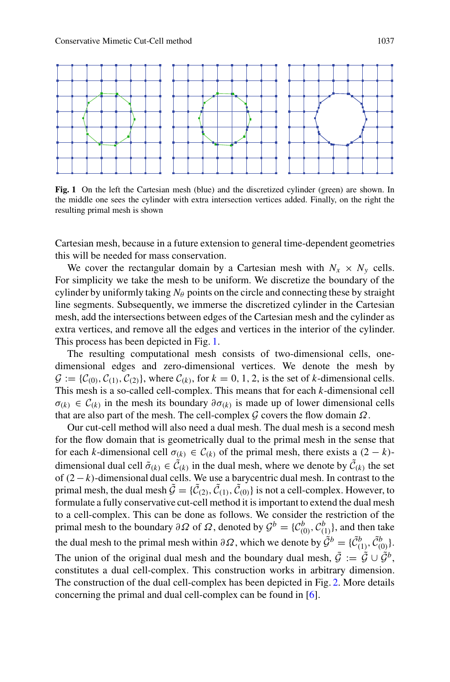

<span id="page-2-0"></span>**Fig. 1** On the left the Cartesian mesh (blue) and the discretized cylinder (green) are shown. In the middle one sees the cylinder with extra intersection vertices added. Finally, on the right the resulting primal mesh is shown

Cartesian mesh, because in a future extension to general time-dependent geometries this will be needed for mass conservation.

We cover the rectangular domain by a Cartesian mesh with  $N_x \times N_y$  cells. For simplicity we take the mesh to be uniform. We discretize the boundary of the cylinder by uniformly taking  $N_\theta$  points on the circle and connecting these by straight line segments. Subsequently, we immerse the discretized cylinder in the Cartesian mesh, add the intersections between edges of the Cartesian mesh and the cylinder as extra vertices, and remove all the edges and vertices in the interior of the cylinder. This process has been depicted in Fig. [1.](#page-2-0)

The resulting computational mesh consists of two-dimensional cells, onedimensional edges and zero-dimensional vertices. We denote the mesh by  $G := \{C_{(0)}, C_{(1)}, C_{(2)}\}$ , where  $C_{(k)}$ , for  $k = 0, 1, 2$ , is the set of k-dimensional cells. This mesh is a so-called cell-complex. This means that for each k-dimensional cell  $\sigma_{(k)} \in C_{(k)}$  in the mesh its boundary  $\partial \sigma_{(k)}$  is made up of lower dimensional cells that are also part of the mesh. The cell-complex  $G$  covers the flow domain  $\Omega$ .

Our cut-cell method will also need a dual mesh. The dual mesh is a second mesh for the flow domain that is geometrically dual to the primal mesh in the sense that for each k-dimensional cell  $\sigma_{(k)} \in C_{(k)}$  of the primal mesh, there exists a  $(2 - k)$ dimensional dual cell  $\tilde{\sigma}_{(k)} \in C_{(k)}$  in the dual mesh, where we denote by  $C_{(k)}$  the set of  $(2-k)$ -dimensional dual cells. We use a barycentric dual mesh. In contrast to the primal mesh, the dual mesh  $G = \{C_{(2)}, C_{(1)}, C_{(0)}\}$  is not a cell-complex. However, to formulate a fully conservative cut-cell method it is important to extend the dual mesh to a cell-complex. This can be done as follows. We consider the restriction of the primal mesh to the boundary ∂Ω of Ω, denoted by  $G^b = \{C^b_{(0)}, C^b_{(1)}\}$ , and then take the dual mesh to the primal mesh within  $\partial \Omega$ , which we denote by  $\tilde{\mathcal{G}}^b = \{\tilde{\mathcal{C}}^b_{(1)}, \tilde{\mathcal{C}}^b_{(0)}\}$ . The union of the original dual mesh and the boundary dual mesh,  $\bar{G} := \bar{G} \cup \bar{G}^b$ , constitutes a dual cell-complex. This construction works in arbitrary dimension. The construction of the dual cell-complex has been depicted in Fig. [2.](#page-3-0) More details concerning the primal and dual cell-complex can be found in [\[6\]](#page-8-1).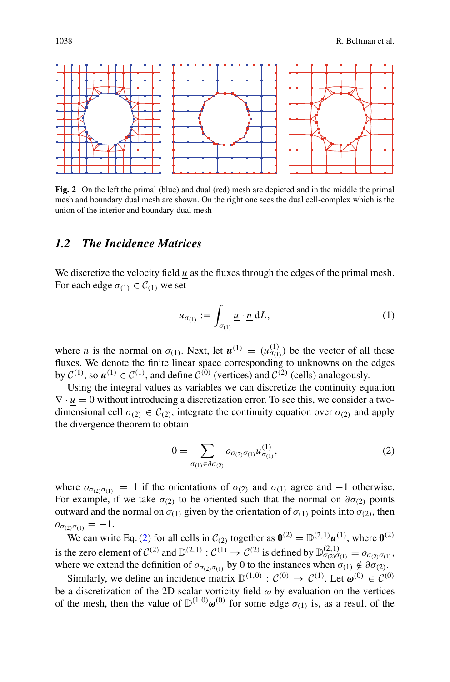

<span id="page-3-0"></span>**Fig. 2** On the left the primal (blue) and dual (red) mesh are depicted and in the middle the primal mesh and boundary dual mesh are shown. On the right one sees the dual cell-complex which is the union of the interior and boundary dual mesh

# *1.2 The Incidence Matrices*

We discretize the velocity field  $u$  as the fluxes through the edges of the primal mesh. For each edge  $\sigma_{(1)} \in C_{(1)}$  we set

<span id="page-3-2"></span>
$$
u_{\sigma(1)} := \int_{\sigma(1)} \underline{u} \cdot \underline{n} \, dL,\tag{1}
$$

where <u>n</u> is the normal on  $\sigma_{(1)}$ . Next, let  $\mathbf{u}^{(1)} = (u_{\sigma_{(1)}}^{(1)})$  be the vector of all these fluxes. We denote the finite linear space corresponding to unknowns on the edges by  $C^{(1)}$ , so  $u^{(1)} \in C^{(1)}$ , and define  $C^{(0)}$  (vertices) and  $C^{(2)}$  (cells) analogously.

Using the integral values as variables we can discretize the continuity equation  $\nabla \cdot \underline{u} = 0$  without introducing a discretization error. To see this, we consider a twodimensional cell  $\sigma_{(2)} \in C_{(2)}$ , integrate the continuity equation over  $\sigma_{(2)}$  and apply the divergence theorem to obtain

<span id="page-3-1"></span>
$$
0 = \sum_{\sigma_{(1)} \in \partial \sigma_{(2)}} o_{\sigma_{(2)} \sigma_{(1)}} u_{\sigma_{(1)}}^{(1)}, \tag{2}
$$

where  $o_{\sigma_{(2)}\sigma_{(1)}} = 1$  if the orientations of  $\sigma_{(2)}$  and  $\sigma_{(1)}$  agree and −1 otherwise. For example, if we take  $\sigma_{(2)}$  to be oriented such that the normal on  $\partial \sigma_{(2)}$  points outward and the normal on  $\sigma_{(1)}$  given by the orientation of  $\sigma_{(1)}$  points into  $\sigma_{(2)}$ , then  $o_{\sigma_{(2)}\sigma_{(1)}}=-1.$ 

We can write Eq. [\(2\)](#page-3-1) for all cells in  $C_{(2)}$  together as  $\mathbf{0}^{(2)} = \mathbb{D}^{(2,1)} \mathbf{u}^{(1)}$ , where  $\mathbf{0}^{(2)}$ is the zero element of  $C^{(2)}$  and  $\mathbb{D}^{(2,1)}$  :  $C^{(1)} \rightarrow C^{(2)}$  is defined by  $\mathbb{D}^{(2,1)}_{\sigma_{(2)}\sigma_{(1)}} = o_{\sigma_{(2)}\sigma_{(1)}},$ where we extend the definition of  $o_{\sigma(\gamma)\sigma(1)}$  by 0 to the instances when  $\sigma(1) \notin \partial \sigma(2)$ .

Similarly, we define an incidence matrix  $\mathbb{D}^{(1,0)}$  :  $\mathcal{C}^{(0)} \to \mathcal{C}^{(1)}$ . Let  $\omega^{(0)} \in \mathcal{C}^{(0)}$ be a discretization of the 2D scalar vorticity field  $\omega$  by evaluation on the vertices of the mesh, then the value of  $\mathbb{D}^{(1,0)}\omega^{(0)}$  for some edge  $\sigma_{(1)}$  is, as a result of the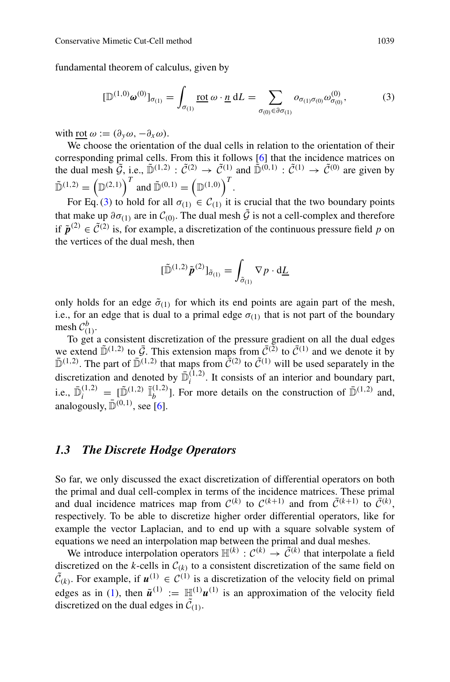fundamental theorem of calculus, given by

<span id="page-4-0"></span>
$$
[\mathbb{D}^{(1,0)}\omega^{(0)}]_{\sigma_{(1)}} = \int_{\sigma_{(1)}} \underline{\text{rot}} \,\omega \cdot \underline{n} \,\mathrm{d}L = \sum_{\sigma_{(0)} \in \partial \sigma_{(1)}} o_{\sigma_{(1)}\sigma_{(0)}} \omega^{(0)}_{\sigma_{(0)}},\tag{3}
$$

with rot  $\omega := (\partial_y \omega, -\partial_x \omega)$ .

We choose the orientation of the dual cells in relation to the orientation of their corresponding primal cells. From this it follows [\[6\]](#page-8-1) that the incidence matrices on the dual mesh  $\tilde{G}$ , i.e.,  $\tilde{\mathbb{D}}^{(1,2)}$  :  $\tilde{C}^{(2)} \to \tilde{C}^{(1)}$  and  $\tilde{\mathbb{D}}^{(0,1)}$  :  $\tilde{C}^{(1)} \to \tilde{C}^{(0)}$  are given by  $\tilde{\mathbb{D}}^{(1,2)} = (\mathbb{D}^{(2,1)})^T$  and  $\tilde{\mathbb{D}}^{(0,1)} = (\mathbb{D}^{(1,0)})^T$ .

For Eq. [\(3\)](#page-4-0) to hold for all  $\sigma_{(1)} \in C_{(1)}$  it is crucial that the two boundary points that make up  $\partial \sigma_{(1)}$  are in  $C_{(0)}$ . The dual mesh  $\tilde{G}$  is not a cell-complex and therefore if  $\tilde{\mathbf{p}}^{(2)} \in \tilde{\mathcal{C}}^{(2)}$  is, for example, a discretization of the continuous pressure field p on the vertices of the dual mesh, then

$$
[\tilde{\mathbb{D}}^{(1,2)}\tilde{\boldsymbol{p}}^{(2)}]_{\tilde{\sigma}_{(1)}} = \int_{\tilde{\sigma}_{(1)}} \nabla p \cdot d\underline{L}
$$

only holds for an edge  $\tilde{\sigma}_{(1)}$  for which its end points are again part of the mesh, i.e., for an edge that is dual to a primal edge  $\sigma_{(1)}$  that is not part of the boundary mesh  $\mathcal{C}_{(1)}^b$ .

To get a consistent discretization of the pressure gradient on all the dual edges we extend  $\tilde{\mathbb{D}}^{(1,2)}$  to  $\bar{\mathcal{G}}$ . This extension maps from  $\bar{\mathcal{C}}^{(\bar{2})}$  to  $\bar{\mathcal{C}}^{(1)}$  and we denote it by  $\bar{\mathbb{D}}^{(1,2)}$ . The part of  $\bar{\mathbb{D}}^{(1,2)}$  that maps from  $\bar{\mathcal{C}}^{(2)}$  to  $\tilde{\mathcal{C}}^{(1)}$  will be used separately in the discretization and denoted by  $\bar{\mathbb{D}}_i^{(1,2)}$ . It consists of an interior and boundary part, i.e.,  $\bar{\mathbb{D}}_i^{(1,2)} = [\tilde{\mathbb{D}}^{(1,2)} \tilde{\mathbb{I}}_b^{(1,2)}]$ . For more details on the construction of  $\bar{\mathbb{D}}^{(1,2)}$  and, analogously,  $\bar{\mathbb{D}}^{(0,1)}$ , see [\[6\]](#page-8-1).

### *1.3 The Discrete Hodge Operators*

So far, we only discussed the exact discretization of differential operators on both the primal and dual cell-complex in terms of the incidence matrices. These primal and dual incidence matrices map from  $C^{(k)}$  to  $C^{(k+1)}$  and from  $\bar{C}^{(k+1)}$  to  $\bar{C}^{(k)}$ . respectively. To be able to discretize higher order differential operators, like for example the vector Laplacian, and to end up with a square solvable system of equations we need an interpolation map between the primal and dual meshes.

We introduce interpolation operators  $\mathbb{H}^{(k)} : C^{(k)} \to \tilde{C}^{(k)}$  that interpolate a field discretized on the k-cells in  $\mathcal{C}_{(k)}$  to a consistent discretization of the same field on  $\tilde{\mathcal{C}}_{(k)}$ . For example, if  $\mathbf{u}^{(1)} \in \mathcal{C}^{(1)}$  is a discretization of the velocity field on primal edges as in [\(1\)](#page-3-2), then  $\tilde{u}^{(1)} := \mathbb{H}^{(1)} u^{(1)}$  is an approximation of the velocity field discretized on the dual edges in  $C_{(1)}$ .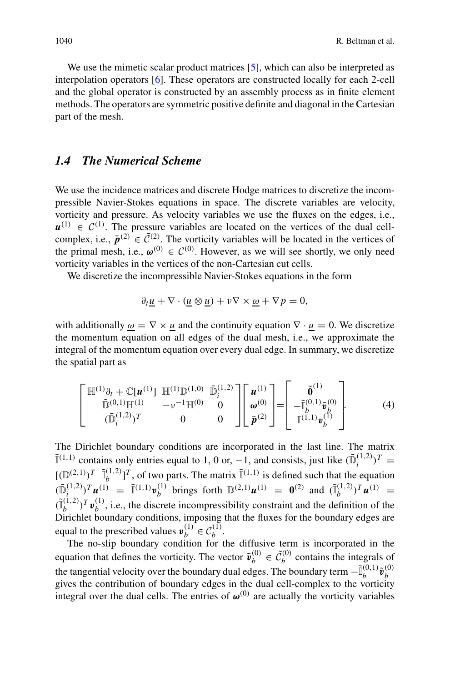We use the mimetic scalar product matrices [\[5\]](#page-8-0), which can also be interpreted as interpolation operators [\[6\]](#page-8-1). These operators are constructed locally for each 2-cell and the global operator is constructed by an assembly process as in finite element methods. The operators are symmetric positive definite and diagonal in the Cartesian part of the mesh.

## *1.4 The Numerical Scheme*

We use the incidence matrices and discrete Hodge matrices to discretize the incompressible Navier-Stokes equations in space. The discrete variables are velocity, vorticity and pressure. As velocity variables we use the fluxes on the edges, i.e.,  $u^{(1)} \in C^{(1)}$ . The pressure variables are located on the vertices of the dual cellcomplex, i.e.,  $\bar{\mathbf{p}}^{(2)} \in \bar{\mathcal{C}}^{(2)}$ . The vorticity variables will be located in the vertices of the primal mesh, i.e.,  $\omega^{(0)} \in C^{(0)}$ . However, as we will see shortly, we only need vorticity variables in the vertices of the non-Cartesian cut cells.

We discretize the incompressible Navier-Stokes equations in the form

$$
\partial_t \underline{u} + \nabla \cdot (\underline{u} \otimes \underline{u}) + \nu \nabla \times \underline{\omega} + \nabla p = 0,
$$

with additionally  $\omega = \nabla \times u$  and the continuity equation  $\nabla \cdot u = 0$ . We discretize the momentum equation on all edges of the dual mesh, i.e., we approximate the integral of the momentum equation over every dual edge. In summary, we discretize the spatial part as

<span id="page-5-0"></span>
$$
\begin{bmatrix}\n\mathbb{H}^{(1)}\partial_t + \mathbb{C}[\mathbf{u}^{(1)}] & \mathbb{H}^{(1)}\mathbb{D}^{(1,0)} & \mathbb{D}_i^{(1,2)} \\
\mathbb{D}^{(0,1)}\mathbb{H}^{(1)} & -\nu^{-1}\mathbb{H}^{(0)} & 0 \\
(\mathbb{D}_i^{(1,2)})^T & 0 & 0\n\end{bmatrix}\n\begin{bmatrix}\n\mathbf{u}^{(1)} \\
\boldsymbol{\omega}^{(0)} \\
\mathbf{p}^{(2)}\n\end{bmatrix} =\n\begin{bmatrix}\n\mathbf{0}^{(1)} \\
-\mathbb{I}_b^{(0,1)}\mathbf{\tilde{v}}_b^{(0)} \\
\mathbb{I}^{(1,1)}\mathbf{v}_b^{(1)}\n\end{bmatrix}.
$$
\n(4)

The Dirichlet boundary conditions are incorporated in the last line. The matrix  $\tilde{\mathbb{I}}^{(1,1)}$  contains only entries equal to 1, 0 or, -1, and consists, just like  $(\bar{\mathbb{D}}_i^{(1,2)})^T$  =  $[(\mathbb{D}^{(2,1)})^T \tilde{\mathbb{I}}_b^{(1,2)}]^T$ , of two parts. The matrix  $\tilde{\mathbb{I}}^{(1,1)}$  is defined such that the equation  $(\mathbb{D}_{i}^{(1,2)})^T \mathbf{u}^{(1)} = \mathbb{I}^{(1,1)} \mathbf{v}^{(1)}_b$  brings forth  $\mathbb{D}^{(2,1)} \mathbf{u}^{(1)} = \mathbf{0}^{(2)}$  and  $(\mathbb{I}^{(1,2)}_b)^T \mathbf{u}^{(1)} =$  $(\tilde{\mathbb{I}}_b^{(1,2)})^T \mathbf{v}_b^{(1)}$ , i.e., the discrete incompressibility constraint and the definition of the Dirichlet boundary conditions, imposing that the fluxes for the boundary edges are equal to the prescribed values  $v_b^{(1)} \in C_b^{(1)}$ .

The no-slip boundary condition for the diffusive term is incorporated in the equation that defines the vorticity. The vector  $\tilde{\mathbf{v}}_b^{(0)} \in \tilde{\mathcal{C}}_b^{(0)}$  contains the integrals of the tangential velocity over the boundary dual edges. The boundary term  $-\mathbb{I}_{b}^{(0,1)}\tilde{\mathfrak{v}}_{b}^{(0)}$ b gives the contribution of boundary edges in the dual cell-complex to the vorticity integral over the dual cells. The entries of  $\omega^{(0)}$  are actually the vorticity variables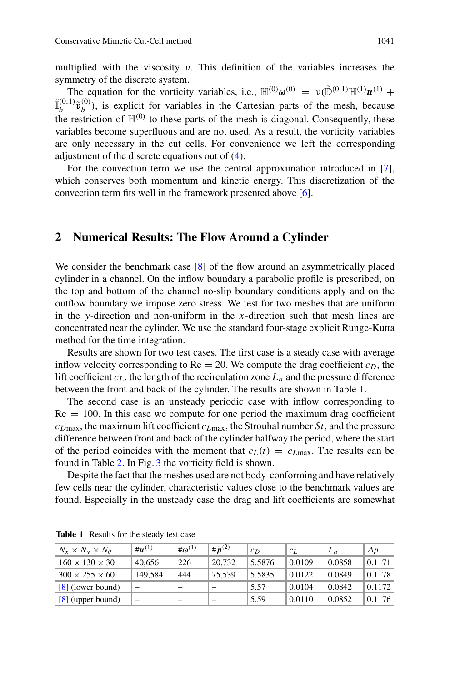multiplied with the viscosity ν. This definition of the variables increases the symmetry of the discrete system.

The equation for the vorticity variables, i.e.,  $\mathbb{H}^{(0)} \boldsymbol{\omega}^{(0)} = \nu(\tilde{\mathbb{D}}^{(0,1)} \mathbb{H}^{(1)} \boldsymbol{u}^{(1)} + \cdots)$  $\tilde{\mathbb{I}}_b^{(0,1)}$  $\tilde{\mathbf{v}}_b^{(0)}$ ), is explicit for variables in the Cartesian parts of the mesh, because the restriction of  $\mathbb{H}^{(0)}$  to these parts of the mesh is diagonal. Consequently, these variables become superfluous and are not used. As a result, the vorticity variables are only necessary in the cut cells. For convenience we left the corresponding adjustment of the discrete equations out of [\(4\)](#page-5-0).

For the convection term we use the central approximation introduced in [\[7\]](#page-8-2), which conserves both momentum and kinetic energy. This discretization of the convection term fits well in the framework presented above [\[6\]](#page-8-1).

#### **2 Numerical Results: The Flow Around a Cylinder**

We consider the benchmark case [\[8\]](#page-8-3) of the flow around an asymmetrically placed cylinder in a channel. On the inflow boundary a parabolic profile is prescribed, on the top and bottom of the channel no-slip boundary conditions apply and on the outflow boundary we impose zero stress. We test for two meshes that are uniform in the y-direction and non-uniform in the x-direction such that mesh lines are concentrated near the cylinder. We use the standard four-stage explicit Runge-Kutta method for the time integration.

Results are shown for two test cases. The first case is a steady case with average inflow velocity corresponding to  $Re = 20$ . We compute the drag coefficient  $c_D$ , the lift coefficient  $c<sub>L</sub>$ , the length of the recirculation zone  $L<sub>a</sub>$  and the pressure difference between the front and back of the cylinder. The results are shown in Table [1.](#page-6-0)

The second case is an unsteady periodic case with inflow corresponding to  $Re = 100$ . In this case we compute for one period the maximum drag coefficient  $c_{Dmax}$ , the maximum lift coefficient  $c_{Lmax}$ , the Strouhal number St, and the pressure difference between front and back of the cylinder halfway the period, where the start of the period coincides with the moment that  $c_L(t) = c_{Lmax}$ . The results can be found in Table [2.](#page-7-4) In Fig. [3](#page-7-5) the vorticity field is shown.

Despite the fact that the meshes used are not body-conforming and have relatively few cells near the cylinder, characteristic values close to the benchmark values are found. Especially in the unsteady case the drag and lift coefficients are somewhat

| $N_x \times N_v \times N_\theta$ | # $\mathbf{u}^{(1)}$ | $\sharp \omega^{(1)}$    | # $\tilde{\boldsymbol{p}}^{(2)}$ | $c_D$  | $c_L$  | $L_a$  | $\Delta p$ |
|----------------------------------|----------------------|--------------------------|----------------------------------|--------|--------|--------|------------|
| $160 \times 130 \times 30$       | 40.656               | 226                      | 20,732                           | 5.5876 | 0.0109 | 0.0858 | 0.1171     |
| $300 \times 255 \times 60$       | 149.584              | 444                      | 75,539                           | 5.5835 | 0.0122 | 0.0849 | 0.1178     |
| $[8]$ (lower bound)              | -                    | $\overline{\phantom{a}}$ | -                                | 5.57   | 0.0104 | 0.0842 | 0.1172     |
| $[8]$ (upper bound)              | -                    | $\overline{\phantom{a}}$ | $\overline{\phantom{a}}$         | 5.59   | 0.0110 | 0.0852 | 0.1176     |

<span id="page-6-0"></span>**Table 1** Results for the steady test case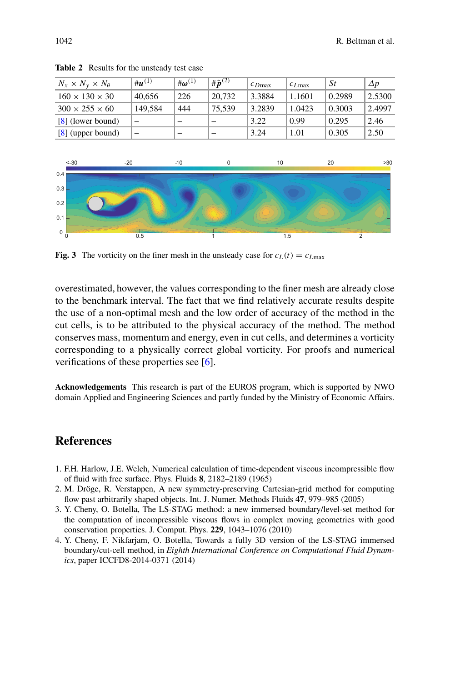| $N_{\rm r} \times N_{\rm v} \times N_{\theta}$ | $\sharp u^{(1)}$ | $\sharp \omega^{(1)}$    | # $\tilde{p}^{(2)}$      | $c_{Dmax}$ | $c_{Lmax}$ | St     | $\Delta p$ |
|------------------------------------------------|------------------|--------------------------|--------------------------|------------|------------|--------|------------|
| $160 \times 130 \times 30$                     | 40.656           | 226                      | 20,732                   | 3.3884     | 1.1601     | 0.2989 | 2.5300     |
| $300 \times 255 \times 60$                     | 149.584          | 444                      | 75.539                   | 3.2839     | 1.0423     | 0.3003 | 2.4997     |
| [8] (lower bound)                              | -                | $\overline{\phantom{a}}$ | $\overline{\phantom{a}}$ | 3.22       | 0.99       | 0.295  | 2.46       |
| $[8]$ (upper bound)                            | -                | $\overline{\phantom{a}}$ | $\overline{\phantom{a}}$ | 3.24       | 1.01       | 0.305  | 2.50       |

<span id="page-7-4"></span>**Table 2** Results for the unsteady test case



<span id="page-7-5"></span>**Fig. 3** The vorticity on the finer mesh in the unsteady case for  $c_L(t) = c_{L\text{max}}$ 

overestimated, however, the values corresponding to the finer mesh are already close to the benchmark interval. The fact that we find relatively accurate results despite the use of a non-optimal mesh and the low order of accuracy of the method in the cut cells, is to be attributed to the physical accuracy of the method. The method conserves mass, momentum and energy, even in cut cells, and determines a vorticity corresponding to a physically correct global vorticity. For proofs and numerical verifications of these properties see [\[6\]](#page-8-1).

**Acknowledgements** This research is part of the EUROS program, which is supported by NWO domain Applied and Engineering Sciences and partly funded by the Ministry of Economic Affairs.

# **References**

- <span id="page-7-0"></span>1. F.H. Harlow, J.E. Welch, Numerical calculation of time-dependent viscous incompressible flow of fluid with free surface. Phys. Fluids **8**, 2182–2189 (1965)
- <span id="page-7-1"></span>2. M. Dröge, R. Verstappen, A new symmetry-preserving Cartesian-grid method for computing flow past arbitrarily shaped objects. Int. J. Numer. Methods Fluids **47**, 979–985 (2005)
- <span id="page-7-2"></span>3. Y. Cheny, O. Botella, The LS-STAG method: a new immersed boundary/level-set method for the computation of incompressible viscous flows in complex moving geometries with good conservation properties. J. Comput. Phys. **229**, 1043–1076 (2010)
- <span id="page-7-3"></span>4. Y. Cheny, F. Nikfarjam, O. Botella, Towards a fully 3D version of the LS-STAG immersed boundary/cut-cell method, in *Eighth International Conference on Computational Fluid Dynamics*, paper ICCFD8-2014-0371 (2014)